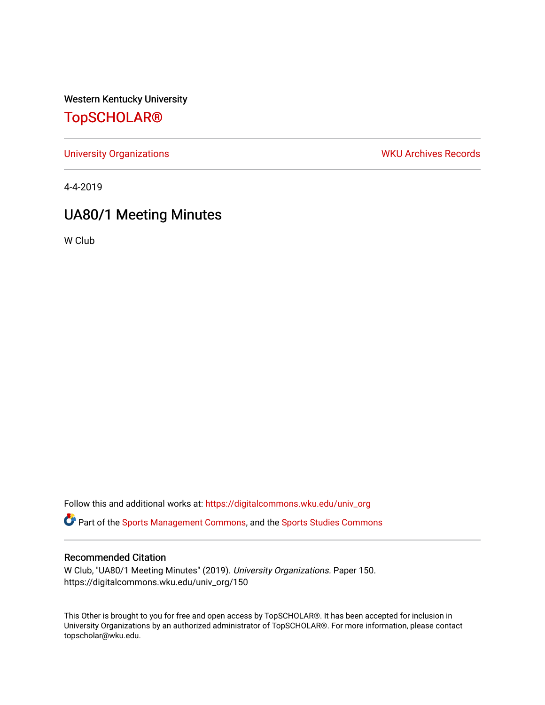Western Kentucky University

## [TopSCHOLAR®](https://digitalcommons.wku.edu/)

[University Organizations](https://digitalcommons.wku.edu/univ_org) **WKU Archives Records** 

4-4-2019

# UA80/1 Meeting Minutes

W Club

Follow this and additional works at: [https://digitalcommons.wku.edu/univ\\_org](https://digitalcommons.wku.edu/univ_org?utm_source=digitalcommons.wku.edu%2Funiv_org%2F150&utm_medium=PDF&utm_campaign=PDFCoverPages) 

**C** Part of the [Sports Management Commons](http://network.bepress.com/hgg/discipline/1193?utm_source=digitalcommons.wku.edu%2Funiv_org%2F150&utm_medium=PDF&utm_campaign=PDFCoverPages), and the [Sports Studies Commons](http://network.bepress.com/hgg/discipline/1198?utm_source=digitalcommons.wku.edu%2Funiv_org%2F150&utm_medium=PDF&utm_campaign=PDFCoverPages)

### Recommended Citation

W Club, "UA80/1 Meeting Minutes" (2019). University Organizations. Paper 150. https://digitalcommons.wku.edu/univ\_org/150

This Other is brought to you for free and open access by TopSCHOLAR®. It has been accepted for inclusion in University Organizations by an authorized administrator of TopSCHOLAR®. For more information, please contact topscholar@wku.edu.